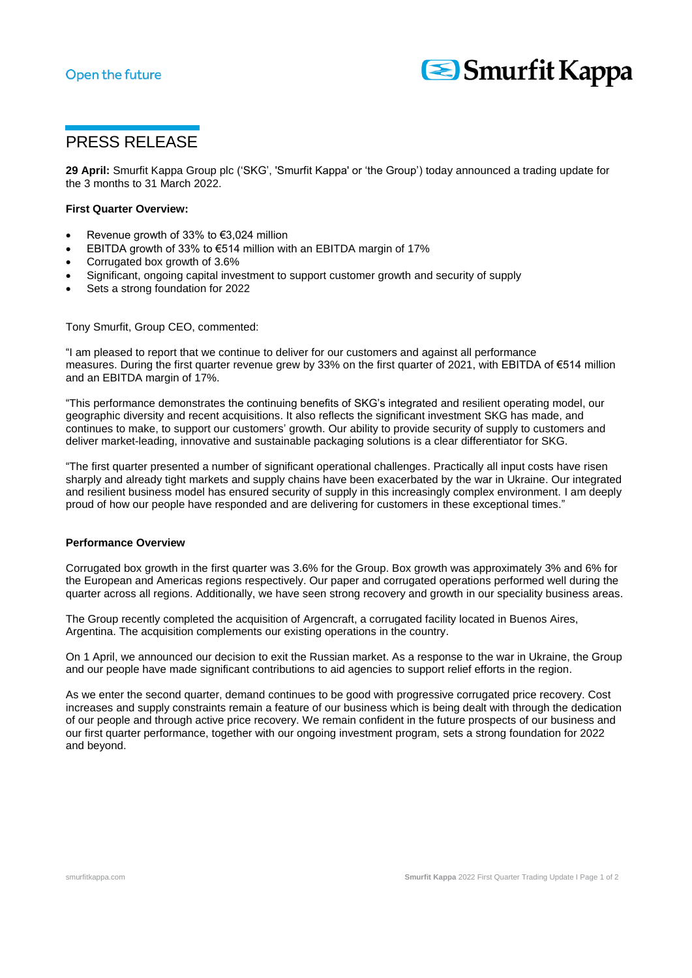# Open the future



# PRESS RELEASE

**29 April:** Smurfit Kappa Group plc ('SKG', 'Smurfit Kappa' or 'the Group') today announced a trading update for the 3 months to 31 March 2022.

### **First Quarter Overview:**

- Revenue growth of 33% to €3,024 million
- EBITDA growth of 33% to €514 million with an EBITDA margin of 17%
- Corrugated box growth of 3.6%
- Significant, ongoing capital investment to support customer growth and security of supply
- Sets a strong foundation for 2022

Tony Smurfit, Group CEO, commented:

"I am pleased to report that we continue to deliver for our customers and against all performance measures. During the first quarter revenue grew by 33% on the first quarter of 2021, with EBITDA of €514 million and an EBITDA margin of 17%.

"This performance demonstrates the continuing benefits of SKG's integrated and resilient operating model, our geographic diversity and recent acquisitions. It also reflects the significant investment SKG has made, and continues to make, to support our customers' growth. Our ability to provide security of supply to customers and deliver market-leading, innovative and sustainable packaging solutions is a clear differentiator for SKG.

"The first quarter presented a number of significant operational challenges. Practically all input costs have risen sharply and already tight markets and supply chains have been exacerbated by the war in Ukraine. Our integrated and resilient business model has ensured security of supply in this increasingly complex environment. I am deeply proud of how our people have responded and are delivering for customers in these exceptional times."

#### **Performance Overview**

Corrugated box growth in the first quarter was 3.6% for the Group. Box growth was approximately 3% and 6% for the European and Americas regions respectively. Our paper and corrugated operations performed well during the quarter across all regions. Additionally, we have seen strong recovery and growth in our speciality business areas.

The Group recently completed the acquisition of Argencraft, a corrugated facility located in Buenos Aires, Argentina. The acquisition complements our existing operations in the country.

On 1 April, we announced our decision to exit the Russian market. As a response to the war in Ukraine, the Group and our people have made significant contributions to aid agencies to support relief efforts in the region.

As we enter the second quarter, demand continues to be good with progressive corrugated price recovery. Cost increases and supply constraints remain a feature of our business which is being dealt with through the dedication of our people and through active price recovery. We remain confident in the future prospects of our business and our first quarter performance, together with our ongoing investment program, sets a strong foundation for 2022 and beyond.